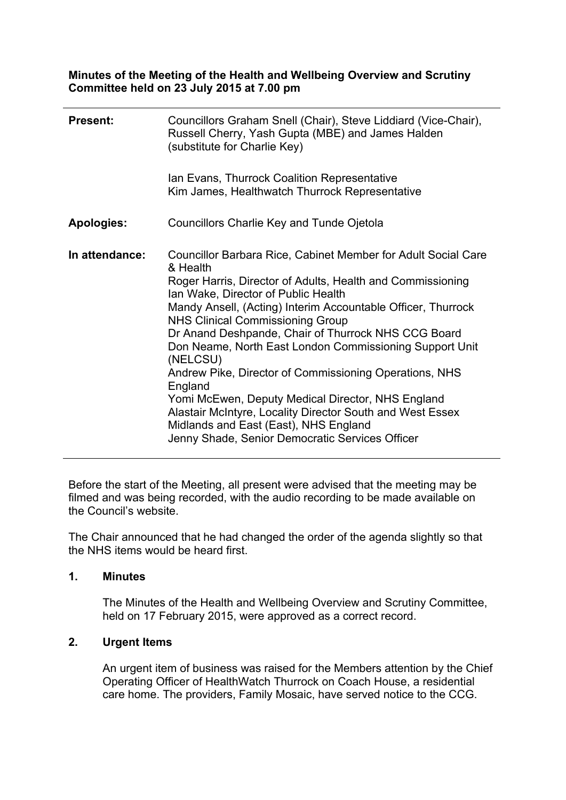**Minutes of the Meeting of the Health and Wellbeing Overview and Scrutiny Committee held on 23 July 2015 at 7.00 pm**

| <b>Present:</b>   | Councillors Graham Snell (Chair), Steve Liddiard (Vice-Chair),<br>Russell Cherry, Yash Gupta (MBE) and James Halden<br>(substitute for Charlie Key)                                                                                                                                                                                                                                                                                                                                                                                                                                                                                                                                                        |
|-------------------|------------------------------------------------------------------------------------------------------------------------------------------------------------------------------------------------------------------------------------------------------------------------------------------------------------------------------------------------------------------------------------------------------------------------------------------------------------------------------------------------------------------------------------------------------------------------------------------------------------------------------------------------------------------------------------------------------------|
|                   | Ian Evans, Thurrock Coalition Representative<br>Kim James, Healthwatch Thurrock Representative                                                                                                                                                                                                                                                                                                                                                                                                                                                                                                                                                                                                             |
| <b>Apologies:</b> | Councillors Charlie Key and Tunde Ojetola                                                                                                                                                                                                                                                                                                                                                                                                                                                                                                                                                                                                                                                                  |
| In attendance:    | Councillor Barbara Rice, Cabinet Member for Adult Social Care<br>& Health<br>Roger Harris, Director of Adults, Health and Commissioning<br>Ian Wake, Director of Public Health<br>Mandy Ansell, (Acting) Interim Accountable Officer, Thurrock<br><b>NHS Clinical Commissioning Group</b><br>Dr Anand Deshpande, Chair of Thurrock NHS CCG Board<br>Don Neame, North East London Commissioning Support Unit<br>(NELCSU)<br>Andrew Pike, Director of Commissioning Operations, NHS<br>England<br>Yomi McEwen, Deputy Medical Director, NHS England<br>Alastair McIntyre, Locality Director South and West Essex<br>Midlands and East (East), NHS England<br>Jenny Shade, Senior Democratic Services Officer |

Before the start of the Meeting, all present were advised that the meeting may be filmed and was being recorded, with the audio recording to be made available on the Council's website.

The Chair announced that he had changed the order of the agenda slightly so that the NHS items would be heard first.

#### **1. Minutes**

The Minutes of the Health and Wellbeing Overview and Scrutiny Committee, held on 17 February 2015, were approved as a correct record.

## **2. Urgent Items**

An urgent item of business was raised for the Members attention by the Chief Operating Officer of HealthWatch Thurrock on Coach House, a residential care home. The providers, Family Mosaic, have served notice to the CCG.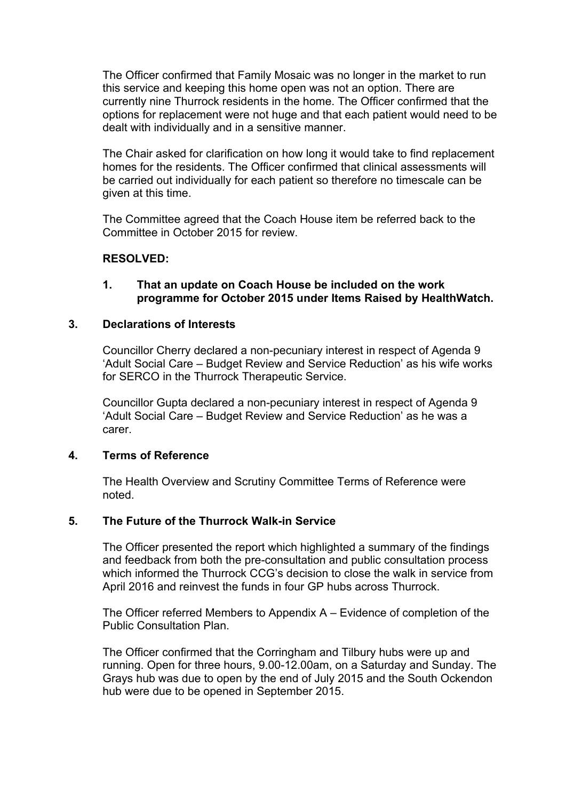The Officer confirmed that Family Mosaic was no longer in the market to run this service and keeping this home open was not an option. There are currently nine Thurrock residents in the home. The Officer confirmed that the options for replacement were not huge and that each patient would need to be dealt with individually and in a sensitive manner.

The Chair asked for clarification on how long it would take to find replacement homes for the residents. The Officer confirmed that clinical assessments will be carried out individually for each patient so therefore no timescale can be given at this time.

The Committee agreed that the Coach House item be referred back to the Committee in October 2015 for review.

## **RESOLVED:**

#### **1. That an update on Coach House be included on the work programme for October 2015 under Items Raised by HealthWatch.**

#### **3. Declarations of Interests**

Councillor Cherry declared a non-pecuniary interest in respect of Agenda 9 'Adult Social Care – Budget Review and Service Reduction' as his wife works for SERCO in the Thurrock Therapeutic Service.

Councillor Gupta declared a non-pecuniary interest in respect of Agenda 9 'Adult Social Care – Budget Review and Service Reduction' as he was a carer.

#### **4. Terms of Reference**

The Health Overview and Scrutiny Committee Terms of Reference were noted.

## **5. The Future of the Thurrock Walk-in Service**

The Officer presented the report which highlighted a summary of the findings and feedback from both the pre-consultation and public consultation process which informed the Thurrock CCG's decision to close the walk in service from April 2016 and reinvest the funds in four GP hubs across Thurrock.

The Officer referred Members to Appendix A – Evidence of completion of the Public Consultation Plan.

The Officer confirmed that the Corringham and Tilbury hubs were up and running. Open for three hours, 9.00-12.00am, on a Saturday and Sunday. The Grays hub was due to open by the end of July 2015 and the South Ockendon hub were due to be opened in September 2015.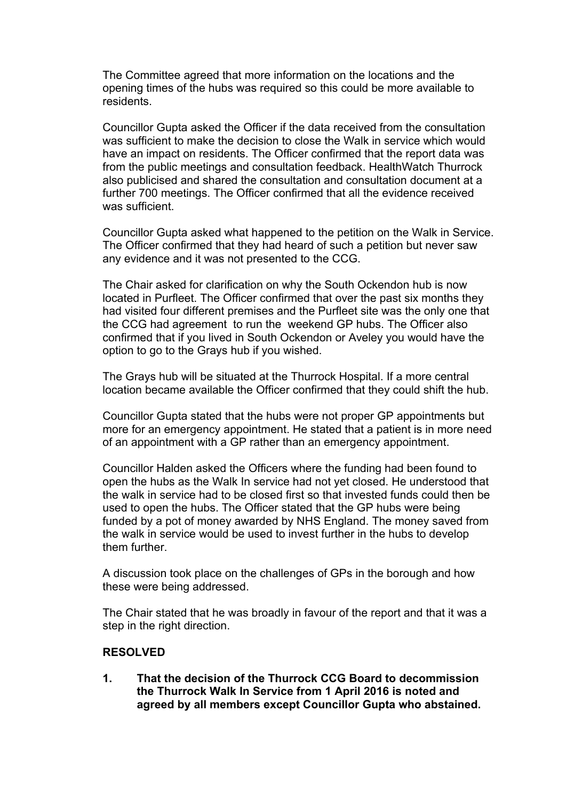The Committee agreed that more information on the locations and the opening times of the hubs was required so this could be more available to residents.

Councillor Gupta asked the Officer if the data received from the consultation was sufficient to make the decision to close the Walk in service which would have an impact on residents. The Officer confirmed that the report data was from the public meetings and consultation feedback. HealthWatch Thurrock also publicised and shared the consultation and consultation document at a further 700 meetings. The Officer confirmed that all the evidence received was sufficient.

Councillor Gupta asked what happened to the petition on the Walk in Service. The Officer confirmed that they had heard of such a petition but never saw any evidence and it was not presented to the CCG.

The Chair asked for clarification on why the South Ockendon hub is now located in Purfleet. The Officer confirmed that over the past six months they had visited four different premises and the Purfleet site was the only one that the CCG had agreement to run the weekend GP hubs. The Officer also confirmed that if you lived in South Ockendon or Aveley you would have the option to go to the Grays hub if you wished.

The Grays hub will be situated at the Thurrock Hospital. If a more central location became available the Officer confirmed that they could shift the hub.

Councillor Gupta stated that the hubs were not proper GP appointments but more for an emergency appointment. He stated that a patient is in more need of an appointment with a GP rather than an emergency appointment.

Councillor Halden asked the Officers where the funding had been found to open the hubs as the Walk In service had not yet closed. He understood that the walk in service had to be closed first so that invested funds could then be used to open the hubs. The Officer stated that the GP hubs were being funded by a pot of money awarded by NHS England. The money saved from the walk in service would be used to invest further in the hubs to develop them further.

A discussion took place on the challenges of GPs in the borough and how these were being addressed.

The Chair stated that he was broadly in favour of the report and that it was a step in the right direction.

## **RESOLVED**

**1. That the decision of the Thurrock CCG Board to decommission the Thurrock Walk In Service from 1 April 2016 is noted and agreed by all members except Councillor Gupta who abstained.**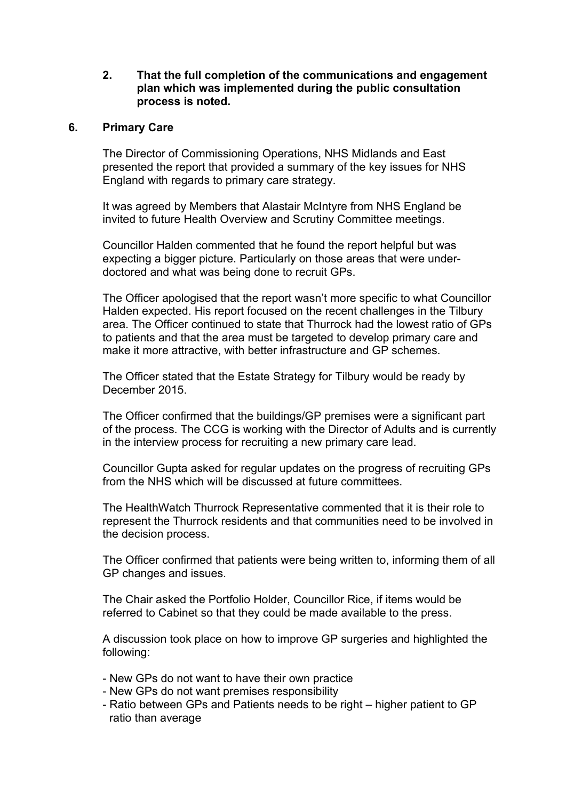**2. That the full completion of the communications and engagement plan which was implemented during the public consultation process is noted.**

#### **6. Primary Care**

The Director of Commissioning Operations, NHS Midlands and East presented the report that provided a summary of the key issues for NHS England with regards to primary care strategy.

It was agreed by Members that Alastair McIntyre from NHS England be invited to future Health Overview and Scrutiny Committee meetings.

Councillor Halden commented that he found the report helpful but was expecting a bigger picture. Particularly on those areas that were underdoctored and what was being done to recruit GPs.

The Officer apologised that the report wasn't more specific to what Councillor Halden expected. His report focused on the recent challenges in the Tilbury area. The Officer continued to state that Thurrock had the lowest ratio of GPs to patients and that the area must be targeted to develop primary care and make it more attractive, with better infrastructure and GP schemes.

The Officer stated that the Estate Strategy for Tilbury would be ready by December 2015.

The Officer confirmed that the buildings/GP premises were a significant part of the process. The CCG is working with the Director of Adults and is currently in the interview process for recruiting a new primary care lead.

Councillor Gupta asked for regular updates on the progress of recruiting GPs from the NHS which will be discussed at future committees.

The HealthWatch Thurrock Representative commented that it is their role to represent the Thurrock residents and that communities need to be involved in the decision process.

The Officer confirmed that patients were being written to, informing them of all GP changes and issues.

The Chair asked the Portfolio Holder, Councillor Rice, if items would be referred to Cabinet so that they could be made available to the press.

A discussion took place on how to improve GP surgeries and highlighted the following:

- New GPs do not want to have their own practice
- New GPs do not want premises responsibility
- Ratio between GPs and Patients needs to be right higher patient to GP ratio than average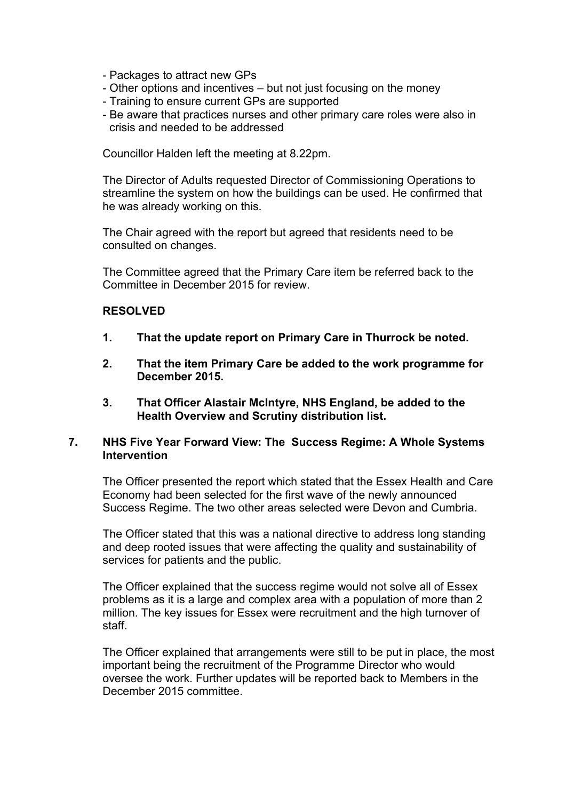- Packages to attract new GPs
- Other options and incentives but not just focusing on the money
- Training to ensure current GPs are supported
- Be aware that practices nurses and other primary care roles were also in crisis and needed to be addressed

Councillor Halden left the meeting at 8.22pm.

The Director of Adults requested Director of Commissioning Operations to streamline the system on how the buildings can be used. He confirmed that he was already working on this.

The Chair agreed with the report but agreed that residents need to be consulted on changes.

The Committee agreed that the Primary Care item be referred back to the Committee in December 2015 for review.

#### **RESOLVED**

- **1. That the update report on Primary Care in Thurrock be noted.**
- **2. That the item Primary Care be added to the work programme for December 2015.**
- **3. That Officer Alastair McIntyre, NHS England, be added to the Health Overview and Scrutiny distribution list.**

### **7. NHS Five Year Forward View: The Success Regime: A Whole Systems Intervention**

The Officer presented the report which stated that the Essex Health and Care Economy had been selected for the first wave of the newly announced Success Regime. The two other areas selected were Devon and Cumbria.

The Officer stated that this was a national directive to address long standing and deep rooted issues that were affecting the quality and sustainability of services for patients and the public.

The Officer explained that the success regime would not solve all of Essex problems as it is a large and complex area with a population of more than 2 million. The key issues for Essex were recruitment and the high turnover of staff.

The Officer explained that arrangements were still to be put in place, the most important being the recruitment of the Programme Director who would oversee the work. Further updates will be reported back to Members in the December 2015 committee.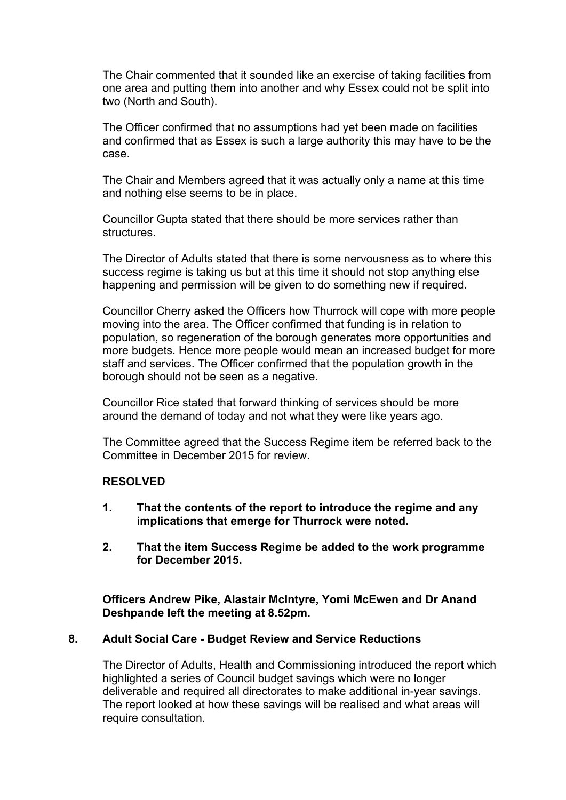The Chair commented that it sounded like an exercise of taking facilities from one area and putting them into another and why Essex could not be split into two (North and South).

The Officer confirmed that no assumptions had yet been made on facilities and confirmed that as Essex is such a large authority this may have to be the case.

The Chair and Members agreed that it was actually only a name at this time and nothing else seems to be in place.

Councillor Gupta stated that there should be more services rather than structures.

The Director of Adults stated that there is some nervousness as to where this success regime is taking us but at this time it should not stop anything else happening and permission will be given to do something new if required.

Councillor Cherry asked the Officers how Thurrock will cope with more people moving into the area. The Officer confirmed that funding is in relation to population, so regeneration of the borough generates more opportunities and more budgets. Hence more people would mean an increased budget for more staff and services. The Officer confirmed that the population growth in the borough should not be seen as a negative.

Councillor Rice stated that forward thinking of services should be more around the demand of today and not what they were like years ago.

The Committee agreed that the Success Regime item be referred back to the Committee in December 2015 for review.

## **RESOLVED**

- **1. That the contents of the report to introduce the regime and any implications that emerge for Thurrock were noted.**
- **2. That the item Success Regime be added to the work programme for December 2015.**

**Officers Andrew Pike, Alastair McIntyre, Yomi McEwen and Dr Anand Deshpande left the meeting at 8.52pm.**

#### **8. Adult Social Care - Budget Review and Service Reductions**

The Director of Adults, Health and Commissioning introduced the report which highlighted a series of Council budget savings which were no longer deliverable and required all directorates to make additional in-year savings. The report looked at how these savings will be realised and what areas will require consultation.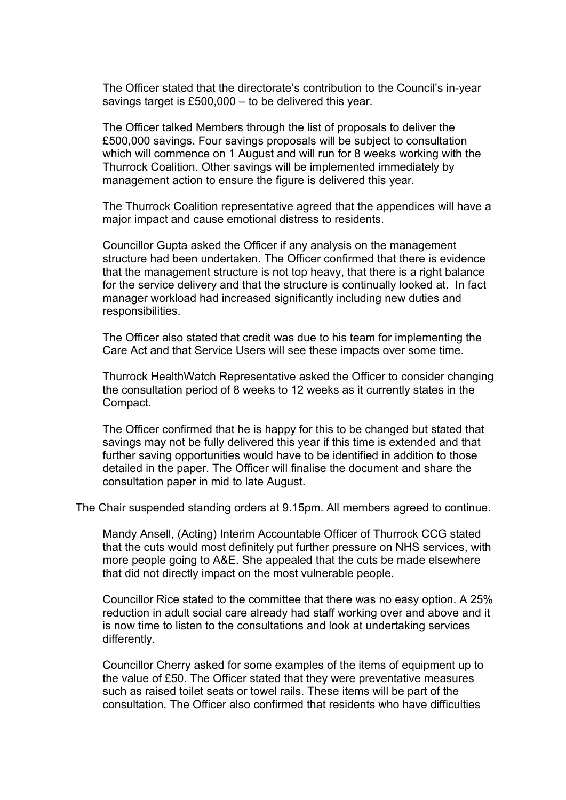The Officer stated that the directorate's contribution to the Council's in-year savings target is £500,000 – to be delivered this year.

The Officer talked Members through the list of proposals to deliver the £500,000 savings. Four savings proposals will be subject to consultation which will commence on 1 August and will run for 8 weeks working with the Thurrock Coalition. Other savings will be implemented immediately by management action to ensure the figure is delivered this year.

The Thurrock Coalition representative agreed that the appendices will have a major impact and cause emotional distress to residents.

Councillor Gupta asked the Officer if any analysis on the management structure had been undertaken. The Officer confirmed that there is evidence that the management structure is not top heavy, that there is a right balance for the service delivery and that the structure is continually looked at. In fact manager workload had increased significantly including new duties and responsibilities.

The Officer also stated that credit was due to his team for implementing the Care Act and that Service Users will see these impacts over some time.

Thurrock HealthWatch Representative asked the Officer to consider changing the consultation period of 8 weeks to 12 weeks as it currently states in the Compact.

The Officer confirmed that he is happy for this to be changed but stated that savings may not be fully delivered this year if this time is extended and that further saving opportunities would have to be identified in addition to those detailed in the paper. The Officer will finalise the document and share the consultation paper in mid to late August.

The Chair suspended standing orders at 9.15pm. All members agreed to continue.

Mandy Ansell, (Acting) Interim Accountable Officer of Thurrock CCG stated that the cuts would most definitely put further pressure on NHS services, with more people going to A&E. She appealed that the cuts be made elsewhere that did not directly impact on the most vulnerable people.

Councillor Rice stated to the committee that there was no easy option. A 25% reduction in adult social care already had staff working over and above and it is now time to listen to the consultations and look at undertaking services differently.

Councillor Cherry asked for some examples of the items of equipment up to the value of £50. The Officer stated that they were preventative measures such as raised toilet seats or towel rails. These items will be part of the consultation. The Officer also confirmed that residents who have difficulties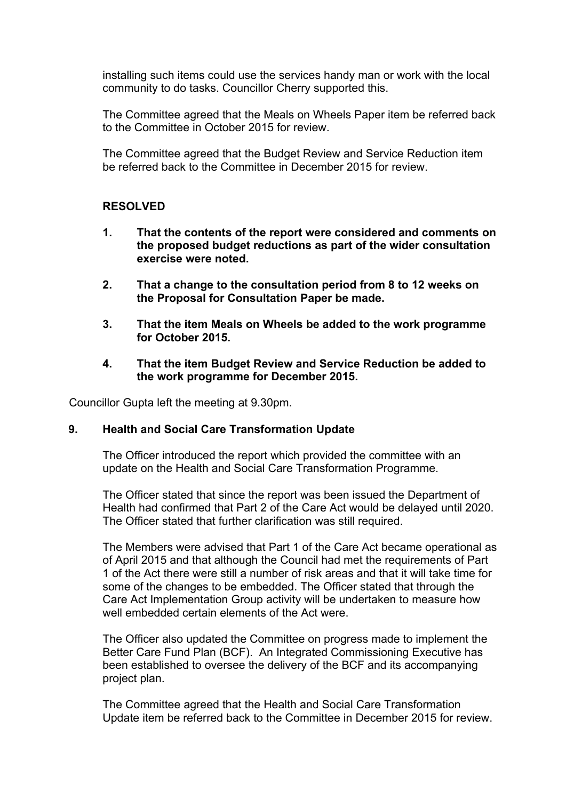installing such items could use the services handy man or work with the local community to do tasks. Councillor Cherry supported this.

The Committee agreed that the Meals on Wheels Paper item be referred back to the Committee in October 2015 for review.

The Committee agreed that the Budget Review and Service Reduction item be referred back to the Committee in December 2015 for review.

## **RESOLVED**

- **1. That the contents of the report were considered and comments on the proposed budget reductions as part of the wider consultation exercise were noted.**
- **2. That a change to the consultation period from 8 to 12 weeks on the Proposal for Consultation Paper be made.**
- **3. That the item Meals on Wheels be added to the work programme for October 2015.**
- **4. That the item Budget Review and Service Reduction be added to the work programme for December 2015.**

Councillor Gupta left the meeting at 9.30pm.

## **9. Health and Social Care Transformation Update**

The Officer introduced the report which provided the committee with an update on the Health and Social Care Transformation Programme.

The Officer stated that since the report was been issued the Department of Health had confirmed that Part 2 of the Care Act would be delayed until 2020. The Officer stated that further clarification was still required.

The Members were advised that Part 1 of the Care Act became operational as of April 2015 and that although the Council had met the requirements of Part 1 of the Act there were still a number of risk areas and that it will take time for some of the changes to be embedded. The Officer stated that through the Care Act Implementation Group activity will be undertaken to measure how well embedded certain elements of the Act were.

The Officer also updated the Committee on progress made to implement the Better Care Fund Plan (BCF). An Integrated Commissioning Executive has been established to oversee the delivery of the BCF and its accompanying project plan.

The Committee agreed that the Health and Social Care Transformation Update item be referred back to the Committee in December 2015 for review.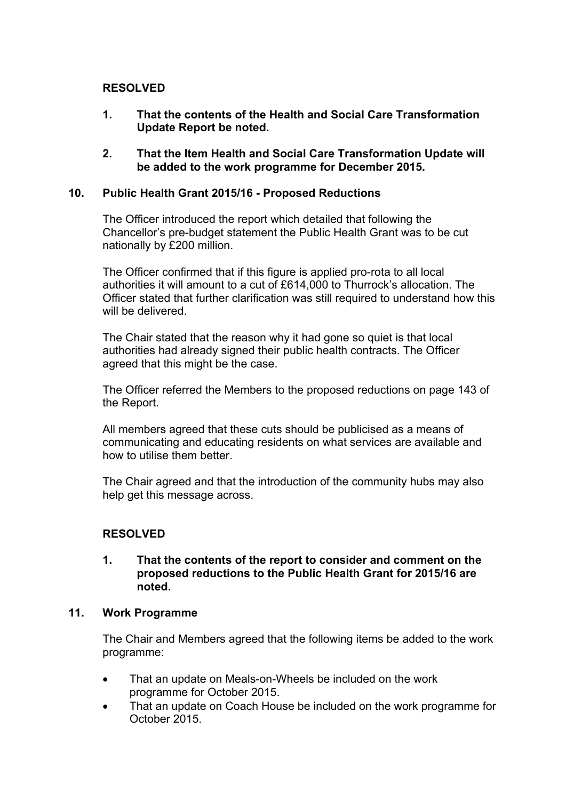## **RESOLVED**

- **1. That the contents of the Health and Social Care Transformation Update Report be noted.**
- **2. That the Item Health and Social Care Transformation Update will be added to the work programme for December 2015.**

## **10. Public Health Grant 2015/16 - Proposed Reductions**

The Officer introduced the report which detailed that following the Chancellor's pre-budget statement the Public Health Grant was to be cut nationally by £200 million.

The Officer confirmed that if this figure is applied pro-rota to all local authorities it will amount to a cut of £614,000 to Thurrock's allocation. The Officer stated that further clarification was still required to understand how this will be delivered.

The Chair stated that the reason why it had gone so quiet is that local authorities had already signed their public health contracts. The Officer agreed that this might be the case.

The Officer referred the Members to the proposed reductions on page 143 of the Report.

All members agreed that these cuts should be publicised as a means of communicating and educating residents on what services are available and how to utilise them better.

The Chair agreed and that the introduction of the community hubs may also help get this message across.

## **RESOLVED**

#### **1. That the contents of the report to consider and comment on the proposed reductions to the Public Health Grant for 2015/16 are noted.**

## **11. Work Programme**

The Chair and Members agreed that the following items be added to the work programme:

- That an update on Meals-on-Wheels be included on the work programme for October 2015.
- That an update on Coach House be included on the work programme for October 2015.